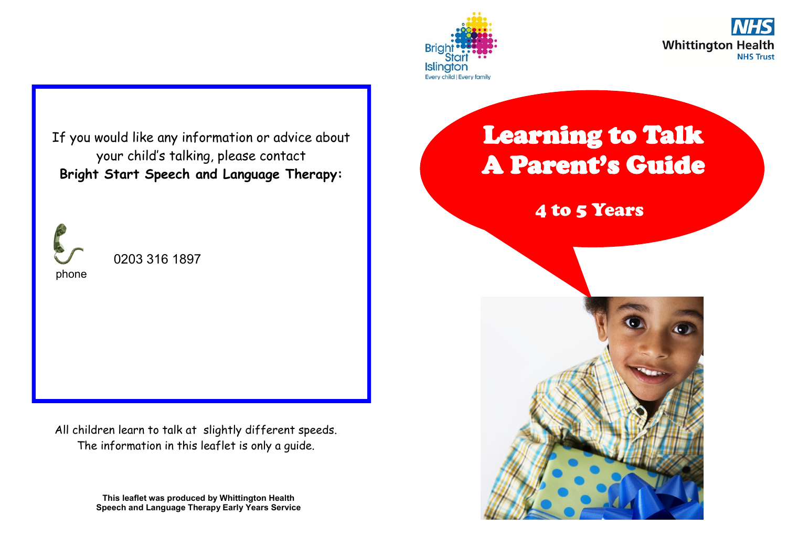



If you would like any information or advice about your child's talking, please contact **Bright Start Speech and Language Therapy:**



0203 316 1897

All children learn to talk at slightly different speeds. The information in this leaflet is only a guide.

> **This leaflet was produced by Whittington Health Speech and Language Therapy Early Years Service**

### Learning to Talk A Parent's Guide

4 to 5 Years